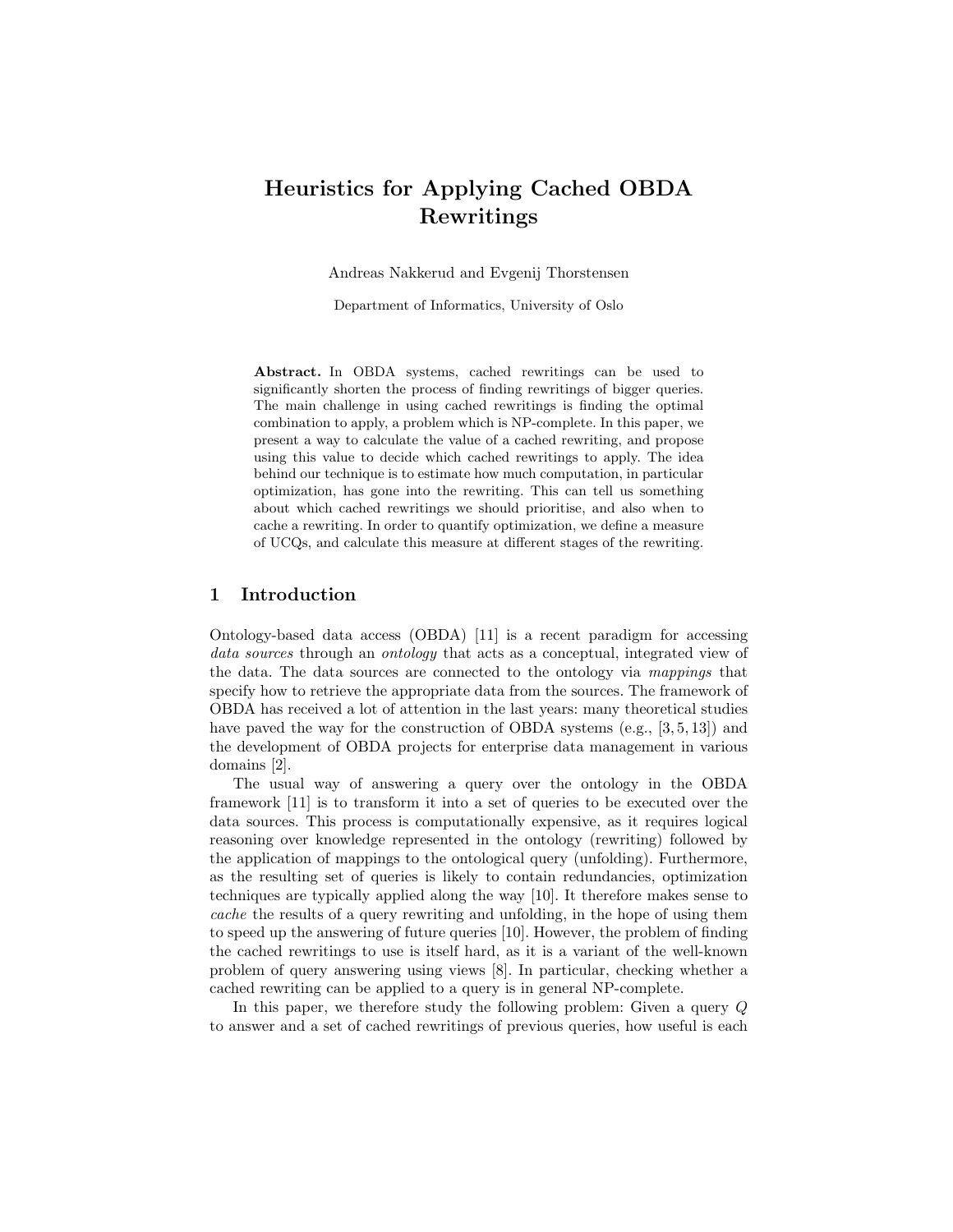# Heuristics for Applying Cached OBDA Rewritings

Andreas Nakkerud and Evgenij Thorstensen

Department of Informatics, University of Oslo

Abstract. In OBDA systems, cached rewritings can be used to significantly shorten the process of finding rewritings of bigger queries. The main challenge in using cached rewritings is finding the optimal combination to apply, a problem which is NP-complete. In this paper, we present a way to calculate the value of a cached rewriting, and propose using this value to decide which cached rewritings to apply. The idea behind our technique is to estimate how much computation, in particular optimization, has gone into the rewriting. This can tell us something about which cached rewritings we should prioritise, and also when to cache a rewriting. In order to quantify optimization, we define a measure of UCQs, and calculate this measure at different stages of the rewriting.

# 1 Introduction

Ontology-based data access (OBDA) [11] is a recent paradigm for accessing data sources through an ontology that acts as a conceptual, integrated view of the data. The data sources are connected to the ontology via mappings that specify how to retrieve the appropriate data from the sources. The framework of OBDA has received a lot of attention in the last years: many theoretical studies have paved the way for the construction of OBDA systems (e.g., [3, 5, 13]) and the development of OBDA projects for enterprise data management in various domains [2].

The usual way of answering a query over the ontology in the OBDA framework [11] is to transform it into a set of queries to be executed over the data sources. This process is computationally expensive, as it requires logical reasoning over knowledge represented in the ontology (rewriting) followed by the application of mappings to the ontological query (unfolding). Furthermore, as the resulting set of queries is likely to contain redundancies, optimization techniques are typically applied along the way [10]. It therefore makes sense to cache the results of a query rewriting and unfolding, in the hope of using them to speed up the answering of future queries [10]. However, the problem of finding the cached rewritings to use is itself hard, as it is a variant of the well-known problem of query answering using views [8]. In particular, checking whether a cached rewriting can be applied to a query is in general NP-complete.

In this paper, we therefore study the following problem: Given a query Q to answer and a set of cached rewritings of previous queries, how useful is each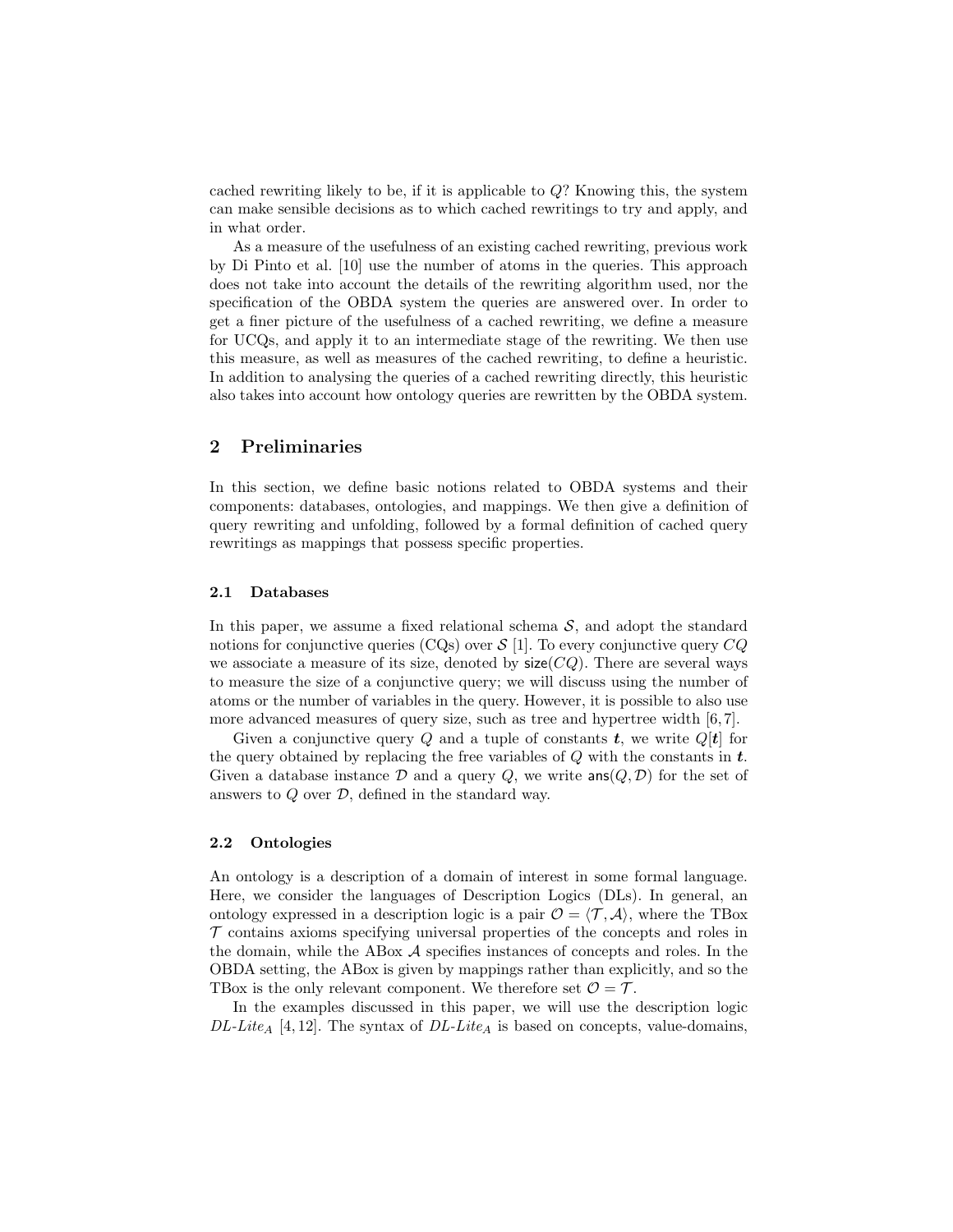cached rewriting likely to be, if it is applicable to  $Q$ ? Knowing this, the system can make sensible decisions as to which cached rewritings to try and apply, and in what order.

As a measure of the usefulness of an existing cached rewriting, previous work by Di Pinto et al. [10] use the number of atoms in the queries. This approach does not take into account the details of the rewriting algorithm used, nor the specification of the OBDA system the queries are answered over. In order to get a finer picture of the usefulness of a cached rewriting, we define a measure for UCQs, and apply it to an intermediate stage of the rewriting. We then use this measure, as well as measures of the cached rewriting, to define a heuristic. In addition to analysing the queries of a cached rewriting directly, this heuristic also takes into account how ontology queries are rewritten by the OBDA system.

# 2 Preliminaries

In this section, we define basic notions related to OBDA systems and their components: databases, ontologies, and mappings. We then give a definition of query rewriting and unfolding, followed by a formal definition of cached query rewritings as mappings that possess specific properties.

#### 2.1 Databases

In this paper, we assume a fixed relational schema  $S$ , and adopt the standard notions for conjunctive queries (CQs) over  $S$  [1]. To every conjunctive query  $CQ$ we associate a measure of its size, denoted by  $size(CQ)$ . There are several ways to measure the size of a conjunctive query; we will discuss using the number of atoms or the number of variables in the query. However, it is possible to also use more advanced measures of query size, such as tree and hypertree width [6, 7].

Given a conjunctive query Q and a tuple of constants  $t$ , we write  $Q[t]$  for the query obtained by replacing the free variables of  $Q$  with the constants in  $t$ . Given a database instance D and a query Q, we write  $\textsf{ans}(Q, \mathcal{D})$  for the set of answers to  $Q$  over  $D$ , defined in the standard way.

### 2.2 Ontologies

An ontology is a description of a domain of interest in some formal language. Here, we consider the languages of Description Logics (DLs). In general, an ontology expressed in a description logic is a pair  $\mathcal{O} = \langle \mathcal{T}, \mathcal{A} \rangle$ , where the TBox  $\mathcal T$  contains axioms specifying universal properties of the concepts and roles in the domain, while the ABox A specifies instances of concepts and roles. In the OBDA setting, the ABox is given by mappings rather than explicitly, and so the TBox is the only relevant component. We therefore set  $\mathcal{O} = \mathcal{T}$ .

In the examples discussed in this paper, we will use the description logic  $DL\text{-}Lie_A$  [4, 12]. The syntax of  $DL\text{-}Lie_A$  is based on concepts, value-domains,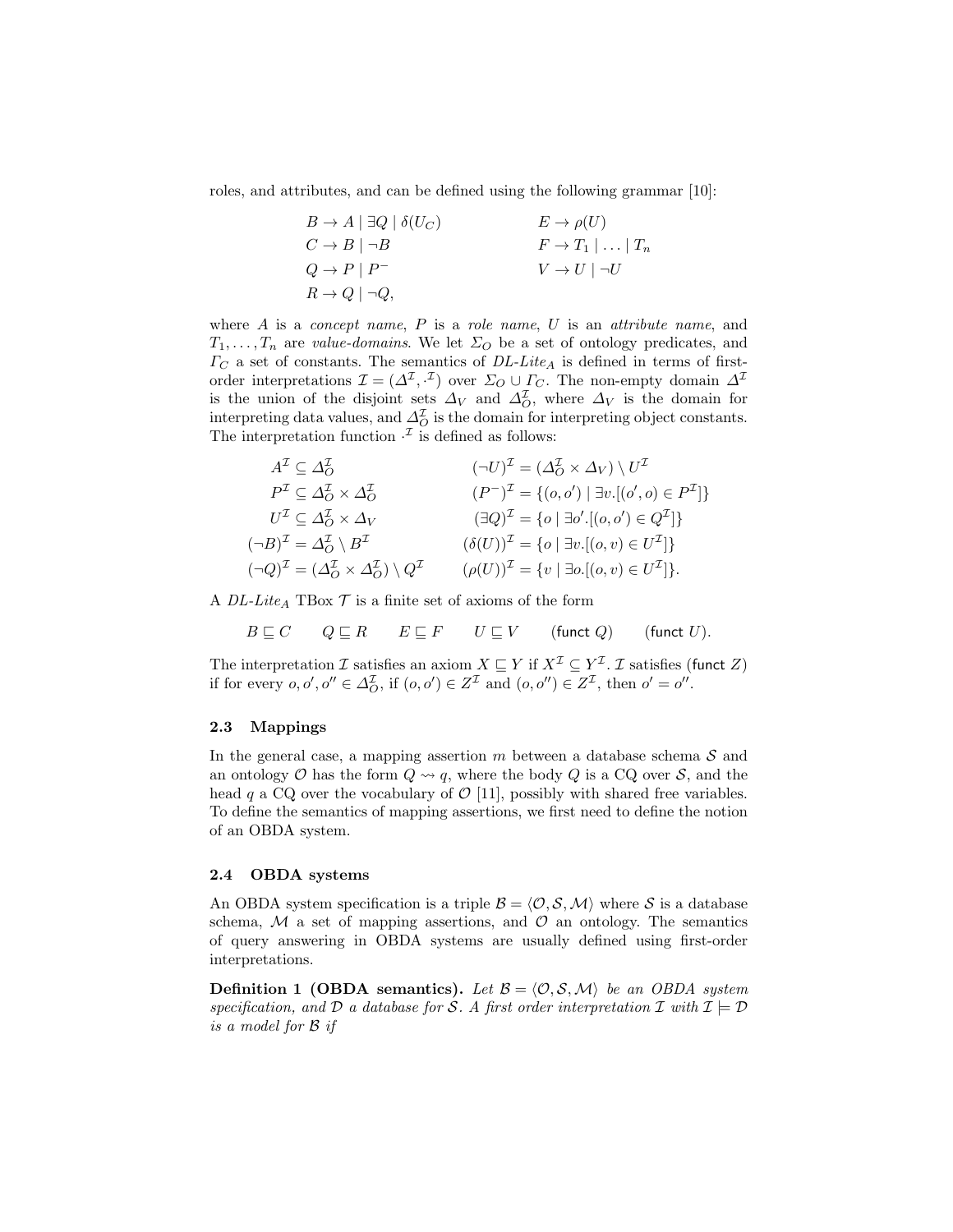roles, and attributes, and can be defined using the following grammar [10]:

$$
B \to A \mid \exists Q \mid \delta(U_C) \qquad E \to \rho(U)
$$
  
\n
$$
C \to B \mid \neg B \qquad F \to T_1 \mid \dots \mid T_n
$$
  
\n
$$
Q \to P \mid P^- \qquad V \to U \mid \neg U
$$
  
\n
$$
R \to Q \mid \neg Q,
$$

where  $A$  is a *concept name*,  $P$  is a *role name*,  $U$  is an *attribute name*, and  $T_1, \ldots, T_n$  are value-domains. We let  $\Sigma_O$  be a set of ontology predicates, and  $\Gamma_C$  a set of constants. The semantics of  $DL\text{-}Lite_A$  is defined in terms of firstorder interpretations  $\mathcal{I} = (\Delta^{\mathcal{I}}, \cdot^{\mathcal{I}})$  over  $\Sigma_O \cup \Gamma_C$ . The non-empty domain  $\Delta^{\mathcal{I}}$ is the union of the disjoint sets  $\Delta_V$  and  $\Delta_O^{\mathcal{I}}$ , where  $\Delta_V$  is the domain for interpreting data values, and  $\Delta_O^{\mathcal{I}}$  is the domain for interpreting object constants. The interpretation function  $\cdot^{\mathcal{I}}$  is defined as follows:

$$
AT \subseteq \Delta_O^{\mathcal{I}}
$$
  
\n
$$
P^{\mathcal{I}} \subseteq \Delta_O^{\mathcal{I}} \times \Delta_O^{\mathcal{I}}
$$
  
\n
$$
U^{\mathcal{I}} \subseteq \Delta_O^{\mathcal{I}} \times \Delta_V
$$
  
\n
$$
U^{\mathcal{I}} \subseteq \Delta_O^{\mathcal{I}} \times \Delta_V
$$
  
\n
$$
U^{\mathcal{I}} \subseteq \Delta_O^{\mathcal{I}} \times \Delta_V
$$
  
\n
$$
(\exists Q)^{\mathcal{I}} = \{o \mid \exists o'.[(o, o') \in Q^{\mathcal{I}}] \}
$$
  
\n
$$
(\neg B)^{\mathcal{I}} = \Delta_O^{\mathcal{I}} \setminus B^{\mathcal{I}}
$$
  
\n
$$
(\forall Q)^{\mathcal{I}} = \{o \mid \exists v.[(o, v) \in U^{\mathcal{I}}] \}
$$
  
\n
$$
(\neg Q)^{\mathcal{I}} = (\Delta_O^{\mathcal{I}} \times \Delta_O^{\mathcal{I}}) \setminus Q^{\mathcal{I}}
$$
  
\n
$$
(o(U))^{\mathcal{I}} = \{v \mid \exists v.[(o, v) \in U^{\mathcal{I}}] \}
$$
  
\n
$$
(\neg Q)^{\mathcal{I}} = (\Delta_O^{\mathcal{I}} \times \Delta_O^{\mathcal{I}}) \setminus Q^{\mathcal{I}}
$$
  
\n
$$
(o(U))^{\mathcal{I}} = \{v \mid \exists o.[(o, v) \in U^{\mathcal{I}}] \}
$$

A  $DL\text{-}Lie_A$  TBox  $\mathcal T$  is a finite set of axioms of the form

 $B \sqsubseteq C$   $Q \sqsubseteq R$   $E \sqsubseteq F$   $U \sqsubseteq V$  (funct Q) (funct U).

The interpretation I satisfies an axiom  $X \subseteq Y$  if  $X^{\mathcal{I}} \subseteq Y^{\mathcal{I}}$ . I satisfies (funct Z) if for every  $o, o', o'' \in \Delta_O^{\mathcal{I}}$ , if  $(o, o') \in Z^{\mathcal{I}}$  and  $(o, o'') \in Z^{\mathcal{I}}$ , then  $o' = o''$ .

#### 2.3 Mappings

In the general case, a mapping assertion  $m$  between a database schema  $S$  and an ontology O has the form  $Q \rightsquigarrow q$ , where the body Q is a CQ over S, and the head q a CQ over the vocabulary of  $\mathcal{O}$  [11], possibly with shared free variables. To define the semantics of mapping assertions, we first need to define the notion of an OBDA system.

#### 2.4 OBDA systems

An OBDA system specification is a triple  $\mathcal{B} = \langle \mathcal{O}, \mathcal{S}, \mathcal{M} \rangle$  where S is a database schema,  $M$  a set of mapping assertions, and  $O$  an ontology. The semantics of query answering in OBDA systems are usually defined using first-order interpretations.

**Definition 1 (OBDA semantics).** Let  $\mathcal{B} = \langle \mathcal{O}, \mathcal{S}, \mathcal{M} \rangle$  be an OBDA system specification, and D a database for S. A first order interpretation I with  $\mathcal{I} \models \mathcal{D}$ is a model for B if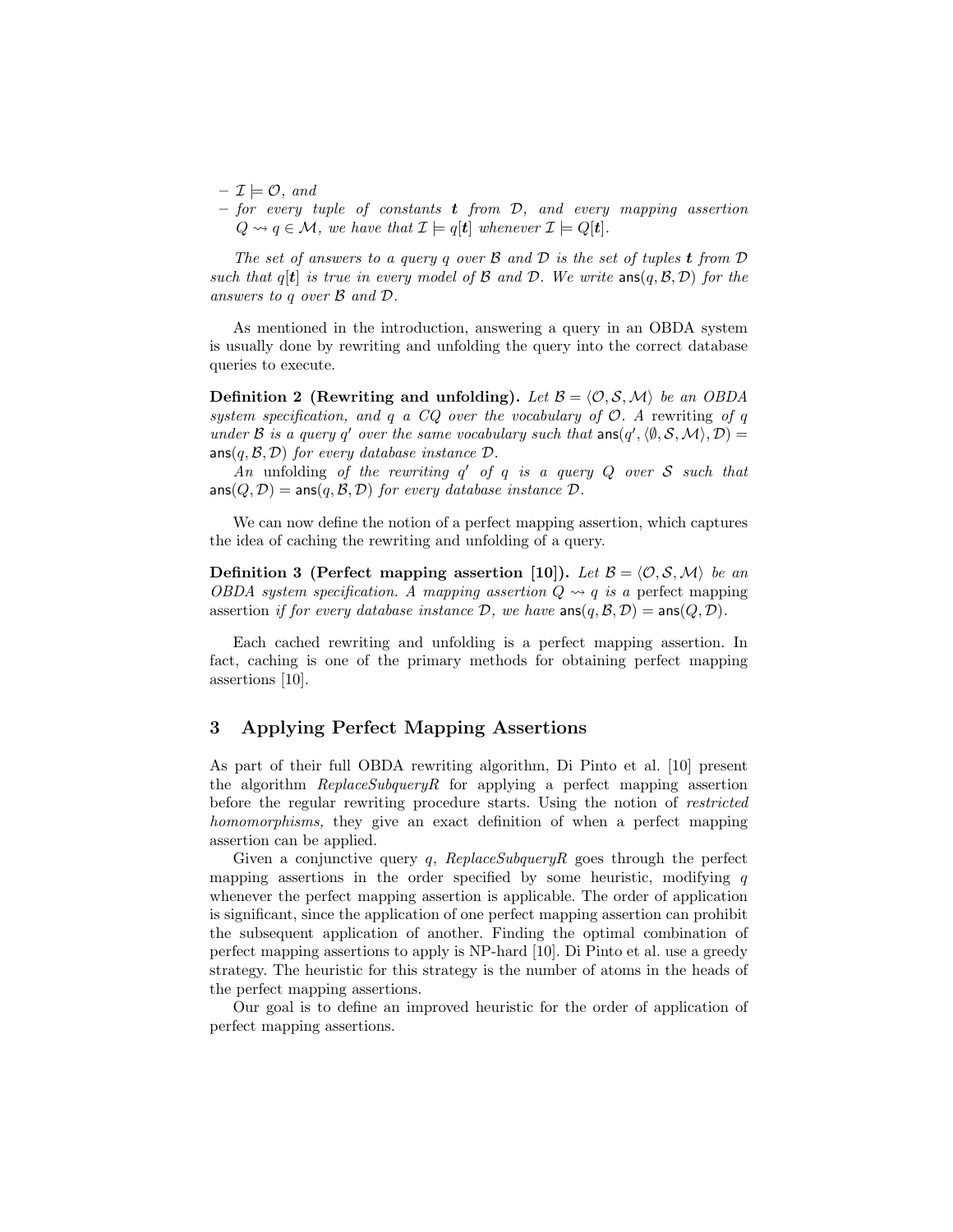- $\mathcal{I} \models \mathcal{O}, \text{ and}$
- for every tuple of constants **t** from  $D$ , and every mapping assertion  $Q \rightsquigarrow q \in \mathcal{M}$ , we have that  $\mathcal{I} \models q[t]$  whenever  $\mathcal{I} \models Q[t]$ .

The set of answers to a query q over  $\mathcal B$  and  $\mathcal D$  is the set of tuples **t** from  $\mathcal D$ such that  $q[t]$  is true in every model of B and D. We write  $\text{ans}(q, \mathcal{B}, \mathcal{D})$  for the answers to q over B and D.

As mentioned in the introduction, answering a query in an OBDA system is usually done by rewriting and unfolding the query into the correct database queries to execute.

**Definition 2** (Rewriting and unfolding). Let  $\mathcal{B} = \langle \mathcal{O}, \mathcal{S}, \mathcal{M} \rangle$  be an OBDA system specification, and q a  $CQ$  over the vocabulary of  $\mathcal{O}$ . A rewriting of q under B is a query q' over the same vocabulary such that  $ans(q', \langle \emptyset, S, \mathcal{M} \rangle, \mathcal{D}) =$  $ans(q, \mathcal{B}, \mathcal{D})$  for every database instance  $\mathcal{D}$ .

An unfolding of the rewriting  $q'$  of  $q$  is a query  $Q$  over  $S$  such that  $ans(Q, D) = ans(q, B, D)$  for every database instance D.

We can now define the notion of a perfect mapping assertion, which captures the idea of caching the rewriting and unfolding of a query.

**Definition 3 (Perfect mapping assertion [10]).** Let  $\mathcal{B} = \langle \mathcal{O}, \mathcal{S}, \mathcal{M} \rangle$  be an OBDA system specification. A mapping assertion  $Q \rightsquigarrow q$  is a perfect mapping assertion if for every database instance  $D$ , we have  $\text{ans}(q, \mathcal{B}, \mathcal{D}) = \text{ans}(Q, \mathcal{D})$ .

Each cached rewriting and unfolding is a perfect mapping assertion. In fact, caching is one of the primary methods for obtaining perfect mapping assertions [10].

# 3 Applying Perfect Mapping Assertions

As part of their full OBDA rewriting algorithm, Di Pinto et al. [10] present the algorithm ReplaceSubqueryR for applying a perfect mapping assertion before the regular rewriting procedure starts. Using the notion of *restricted* homomorphisms, they give an exact definition of when a perfect mapping assertion can be applied.

Given a conjunctive query q,  $ReplaceSubqueryR$  goes through the perfect mapping assertions in the order specified by some heuristic, modifying  $q$ whenever the perfect mapping assertion is applicable. The order of application is significant, since the application of one perfect mapping assertion can prohibit the subsequent application of another. Finding the optimal combination of perfect mapping assertions to apply is NP-hard [10]. Di Pinto et al. use a greedy strategy. The heuristic for this strategy is the number of atoms in the heads of the perfect mapping assertions.

Our goal is to define an improved heuristic for the order of application of perfect mapping assertions.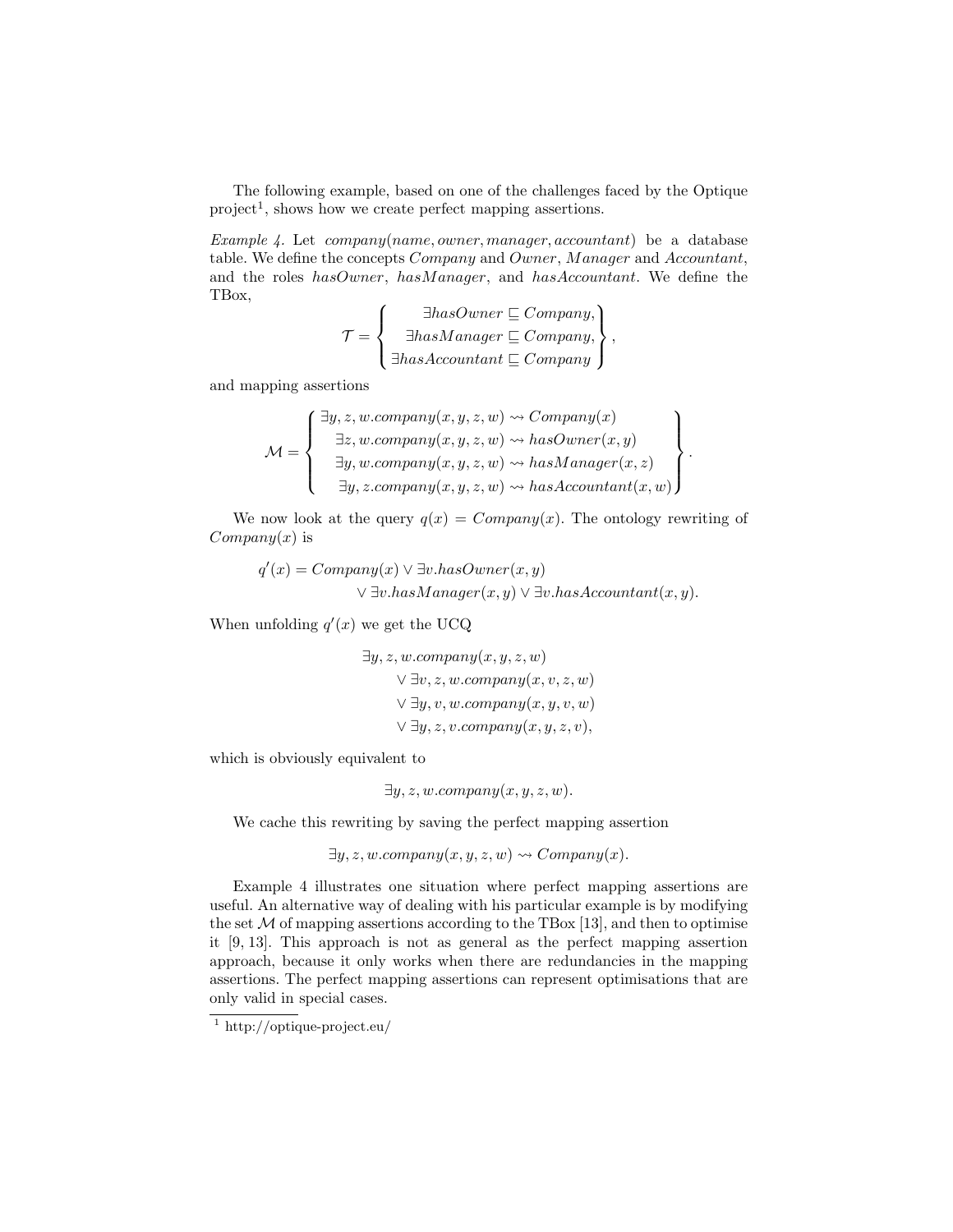The following example, based on one of the challenges faced by the Optique  $project<sup>1</sup>$ , shows how we create perfect mapping assertions.

Example 4. Let company(name, owner, manager, accountant) be a database table. We define the concepts Company and Owner, Manager and Accountant, and the roles hasOwner, hasManager, and hasAccountant. We define the TBox,

$$
\mathcal{T} = \left\{ \begin{array}{c} \exists hasOwner \sqsubseteq Company, \\ \exists hasManager \sqsubseteq Company, \\ \exists hasAccountant \sqsubseteq Company \end{array} \right\}
$$

,

and mapping assertions

$$
\mathcal{M} = \left\{ \begin{array}{l} \exists y, z, w.\ncompany(x, y, z, w) \rightsquigarrow Company(x) \\ \exists z, w.\ncompany(x, y, z, w) \rightsquigarrow hasOwner(x, y) \\ \exists y, w.\ncompany(x, y, z, w) \rightsquigarrow hasManager(x, z) \\ \exists y, z.\ncompany(x, y, z, w) \rightsquigarrow hasAccountant(x, w) \end{array} \right\}.
$$

We now look at the query  $q(x) = Company(x)$ . The ontology rewriting of  $Company(x)$  is

$$
q'(x) = Company(x) \lor \exists v. hasOwner(x, y)
$$

$$
\lor \exists v. hasManager(x, y) \lor \exists v. hasAccountant(x, y).
$$

When unfolding  $q'(x)$  we get the UCQ

$$
\exists y, z, w.company(x, y, z, w)
$$
  

$$
\lor \exists v, z, w.company(x, v, z, w)
$$
  

$$
\lor \exists y, v, w.company(x, y, v, w)
$$
  

$$
\lor \exists y, z, v.company(x, y, z, v),
$$

which is obviously equivalent to

 $\exists y, z, w. company(x, y, z, w).$ 

We cache this rewriting by saving the perfect mapping assertion

$$
\exists y, z, w.company(x, y, z, w) \rightsquigarrow Company(x).
$$

Example 4 illustrates one situation where perfect mapping assertions are useful. An alternative way of dealing with his particular example is by modifying the set  $M$  of mapping assertions according to the TBox [13], and then to optimise it [9, 13]. This approach is not as general as the perfect mapping assertion approach, because it only works when there are redundancies in the mapping assertions. The perfect mapping assertions can represent optimisations that are only valid in special cases.

 $\frac{1 \text{ http://optique-project.eu/}}{}$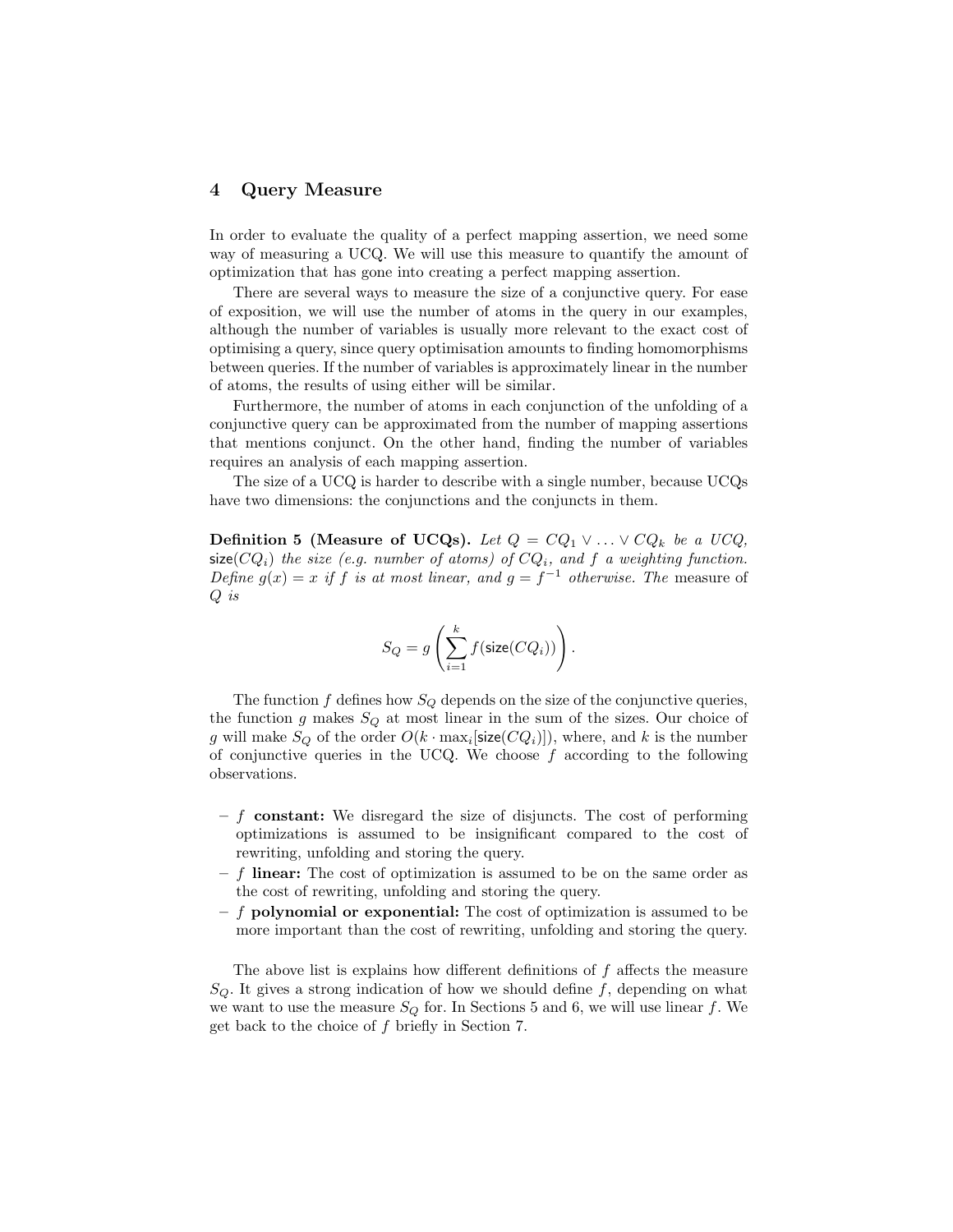# 4 Query Measure

In order to evaluate the quality of a perfect mapping assertion, we need some way of measuring a UCQ. We will use this measure to quantify the amount of optimization that has gone into creating a perfect mapping assertion.

There are several ways to measure the size of a conjunctive query. For ease of exposition, we will use the number of atoms in the query in our examples, although the number of variables is usually more relevant to the exact cost of optimising a query, since query optimisation amounts to finding homomorphisms between queries. If the number of variables is approximately linear in the number of atoms, the results of using either will be similar.

Furthermore, the number of atoms in each conjunction of the unfolding of a conjunctive query can be approximated from the number of mapping assertions that mentions conjunct. On the other hand, finding the number of variables requires an analysis of each mapping assertion.

The size of a UCQ is harder to describe with a single number, because UCQs have two dimensions: the conjunctions and the conjuncts in them.

Definition 5 (Measure of UCQs). Let  $Q = CQ_1 \vee \ldots \vee CQ_k$  be a UCQ, size( $CQ_i$ ) the size (e.g. number of atoms) of  $CQ_i$ , and f a weighting function. Define  $g(x) = x$  if f is at most linear, and  $g = f^{-1}$  otherwise. The measure of Q is

$$
S_Q = g\left(\sum_{i=1}^k f(\text{size}(CQ_i))\right).
$$

The function f defines how  $S_Q$  depends on the size of the conjunctive queries, the function g makes  $S_Q$  at most linear in the sum of the sizes. Our choice of g will make  $S_Q$  of the order  $O(k \cdot \max_i[\text{size}(CQ_i)])$ , where, and k is the number of conjunctive queries in the UCQ. We choose  $f$  according to the following observations.

- $f$  constant: We disregard the size of disjuncts. The cost of performing optimizations is assumed to be insignificant compared to the cost of rewriting, unfolding and storing the query.
- $f$  linear: The cost of optimization is assumed to be on the same order as the cost of rewriting, unfolding and storing the query.
- $-$  f polynomial or exponential: The cost of optimization is assumed to be more important than the cost of rewriting, unfolding and storing the query.

The above list is explains how different definitions of  $f$  affects the measure  $S_{\mathcal{O}}$ . It gives a strong indication of how we should define f, depending on what we want to use the measure  $S_Q$  for. In Sections 5 and 6, we will use linear f. We get back to the choice of f briefly in Section 7.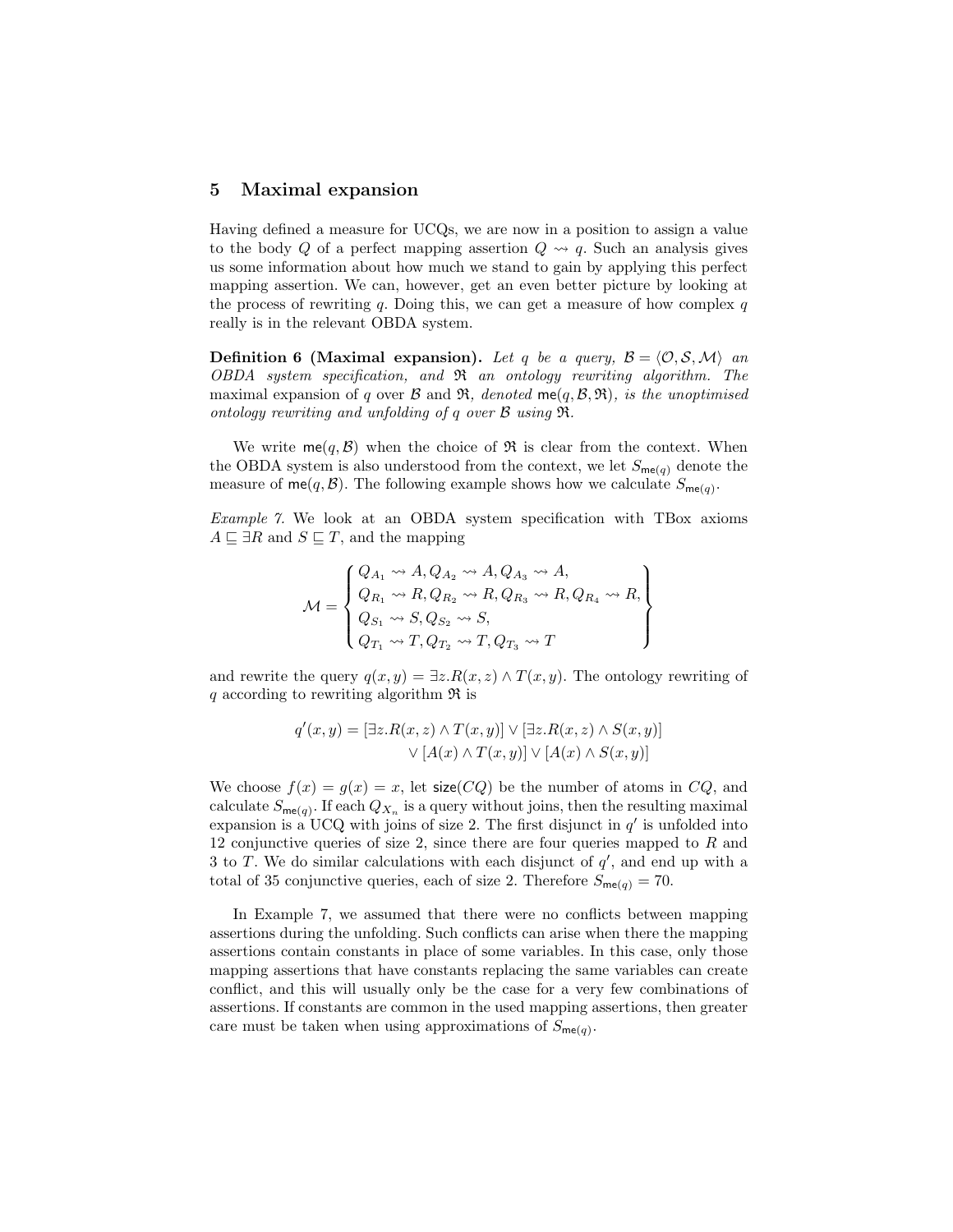### 5 Maximal expansion

Having defined a measure for UCQs, we are now in a position to assign a value to the body Q of a perfect mapping assertion  $Q \rightsquigarrow q$ . Such an analysis gives us some information about how much we stand to gain by applying this perfect mapping assertion. We can, however, get an even better picture by looking at the process of rewriting q. Doing this, we can get a measure of how complex  $q$ really is in the relevant OBDA system.

**Definition 6 (Maximal expansion).** Let q be a query,  $B = \langle O, S, M \rangle$  and OBDA system specification, and R an ontology rewriting algorithm. The maximal expansion of q over  $\mathcal B$  and  $\mathfrak R$ , denoted me(q,  $\mathcal B$ ,  $\mathfrak R$ ), is the unoptimised ontology rewriting and unfolding of q over B using R.

We write  $me(q, \mathcal{B})$  when the choice of  $\Re$  is clear from the context. When the OBDA system is also understood from the context, we let  $S_{\text{me}(q)}$  denote the measure of  $me(q, \mathcal{B})$ . The following example shows how we calculate  $S_{me(q)}$ .

Example 7. We look at an OBDA system specification with TBox axioms  $A \sqsubseteq \exists R$  and  $S \sqsubseteq T$ , and the mapping

$$
\mathcal{M} = \begin{Bmatrix} Q_{A_1} \leadsto A, Q_{A_2} \leadsto A, Q_{A_3} \leadsto A, \\ Q_{R_1} \leadsto R, Q_{R_2} \leadsto R, Q_{R_3} \leadsto R, Q_{R_4} \leadsto R, \\ Q_{S_1} \leadsto S, Q_{S_2} \leadsto S, \\ Q_{T_1} \leadsto T, Q_{T_2} \leadsto T, Q_{T_3} \leadsto T \end{Bmatrix}
$$

and rewrite the query  $q(x, y) = \exists z \, R(x, z) \wedge T(x, y)$ . The ontology rewriting of q according to rewriting algorithm  $\Re$  is

$$
q'(x,y) = [\exists z. R(x,z) \land T(x,y)] \lor [\exists z. R(x,z) \land S(x,y)]
$$

$$
\lor [A(x) \land T(x,y)] \lor [A(x) \land S(x,y)]
$$

We choose  $f(x) = g(x) = x$ , let size(*CQ*) be the number of atoms in *CQ*, and calculate  $S_{\mathsf{me}(q)}$ . If each  $Q_{X_n}$  is a query without joins, then the resulting maximal expansion is a UCQ with joins of size 2. The first disjunct in  $q'$  is unfolded into 12 conjunctive queries of size 2, since there are four queries mapped to  $R$  and 3 to T. We do similar calculations with each disjunct of  $q'$ , and end up with a total of 35 conjunctive queries, each of size 2. Therefore  $S_{\text{me}(q)} = 70$ .

In Example 7, we assumed that there were no conflicts between mapping assertions during the unfolding. Such conflicts can arise when there the mapping assertions contain constants in place of some variables. In this case, only those mapping assertions that have constants replacing the same variables can create conflict, and this will usually only be the case for a very few combinations of assertions. If constants are common in the used mapping assertions, then greater care must be taken when using approximations of  $S_{\mathsf{me}(q)}$ .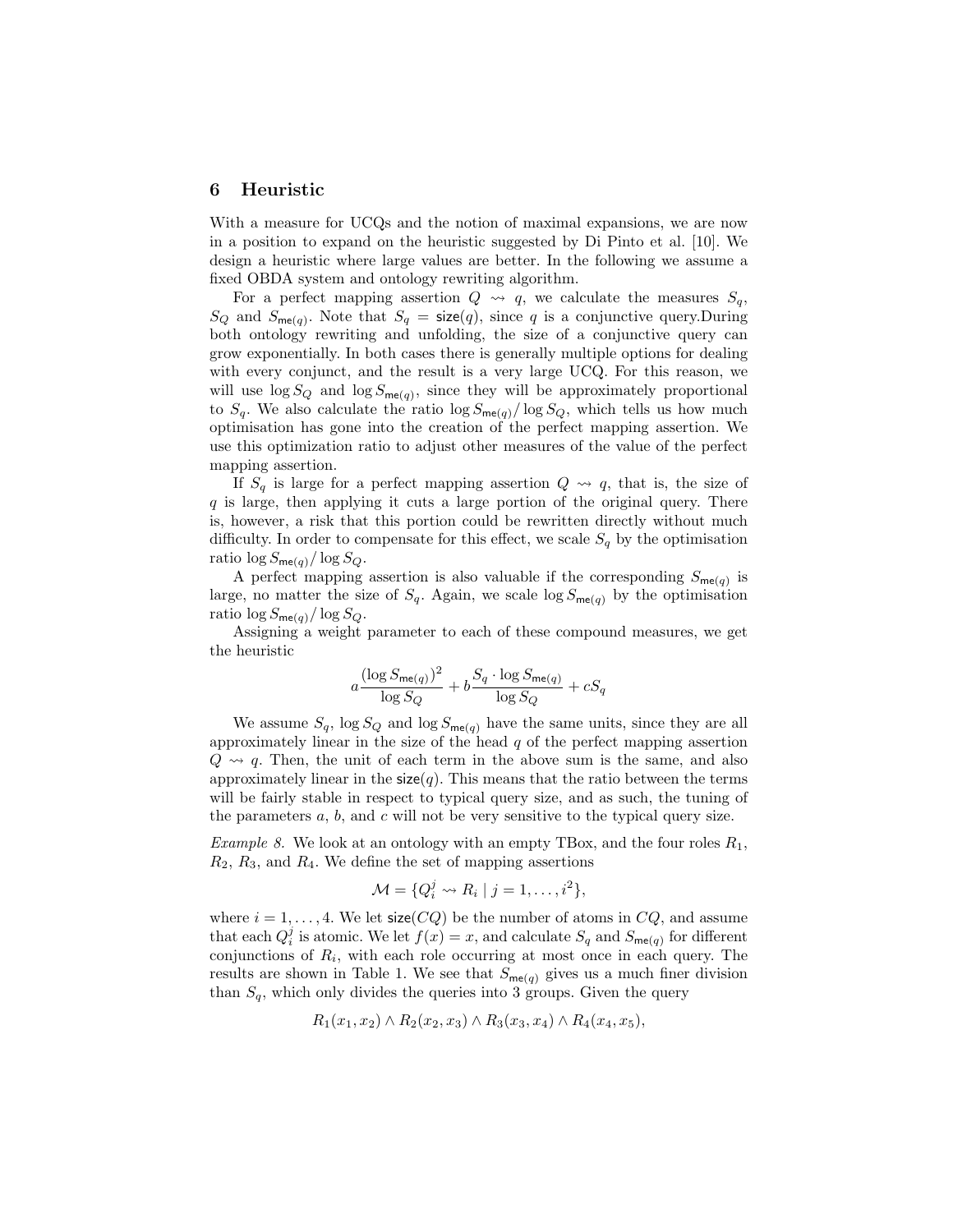#### 6 Heuristic

With a measure for UCQs and the notion of maximal expansions, we are now in a position to expand on the heuristic suggested by Di Pinto et al. [10]. We design a heuristic where large values are better. In the following we assume a fixed OBDA system and ontology rewriting algorithm.

For a perfect mapping assertion  $Q \rightsquigarrow q$ , we calculate the measures  $S_q$ ,  $S_Q$  and  $S_{\mathsf{me}(q)}$ . Note that  $S_q = \mathsf{size}(q)$ , since q is a conjunctive query. During both ontology rewriting and unfolding, the size of a conjunctive query can grow exponentially. In both cases there is generally multiple options for dealing with every conjunct, and the result is a very large UCQ. For this reason, we will use  $\log S_Q$  and  $\log S_{\mathsf{me}(q)}$ , since they will be approximately proportional to  $S_q$ . We also calculate the ratio  $\log S_{\mathsf{me}(q)}/\log S_Q$ , which tells us how much optimisation has gone into the creation of the perfect mapping assertion. We use this optimization ratio to adjust other measures of the value of the perfect mapping assertion.

If  $S_q$  is large for a perfect mapping assertion  $Q \rightsquigarrow q$ , that is, the size of  $q$  is large, then applying it cuts a large portion of the original query. There is, however, a risk that this portion could be rewritten directly without much difficulty. In order to compensate for this effect, we scale  $S_q$  by the optimisation ratio  $\log S_{\mathsf{me}(q)}/\log S_Q$ .

A perfect mapping assertion is also valuable if the corresponding  $S_{\mathsf{me}(q)}$  is large, no matter the size of  $S_q$ . Again, we scale  $\log S_{\text{me}(q)}$  by the optimisation ratio  $\log S_{\text{me}(q)}/\log S_Q$ .

Assigning a weight parameter to each of these compound measures, we get the heuristic

$$
a \frac{(\log S_{\mathsf{me}(q)})^2}{\log S_Q} + b \frac{S_q \cdot \log S_{\mathsf{me}(q)}}{\log S_Q} + cS_q
$$

We assume  $S_q$ ,  $\log S_Q$  and  $\log S_{\text{me}(q)}$  have the same units, since they are all approximately linear in the size of the head  $q$  of the perfect mapping assertion  $Q \rightsquigarrow q$ . Then, the unit of each term in the above sum is the same, and also approximately linear in the  $size(q)$ . This means that the ratio between the terms will be fairly stable in respect to typical query size, and as such, the tuning of the parameters  $a, b$ , and  $c$  will not be very sensitive to the typical query size.

Example 8. We look at an ontology with an empty TBox, and the four roles  $R_1$ ,  $R_2, R_3$ , and  $R_4$ . We define the set of mapping assertions

$$
\mathcal{M} = \{Q_i^j \leadsto R_i \mid j = 1, \ldots, i^2\},\
$$

where  $i = 1, \ldots, 4$ . We let size(*CQ*) be the number of atoms in *CQ*, and assume that each  $Q_i^j$  is atomic. We let  $f(x) = x$ , and calculate  $S_q$  and  $S_{\mathsf{me}(q)}$  for different conjunctions of  $R_i$ , with each role occurring at most once in each query. The results are shown in Table 1. We see that  $S_{\mathsf{me}(q)}$  gives us a much finer division than  $S_q$ , which only divides the queries into 3 groups. Given the query

$$
R_1(x_1, x_2) \wedge R_2(x_2, x_3) \wedge R_3(x_3, x_4) \wedge R_4(x_4, x_5),
$$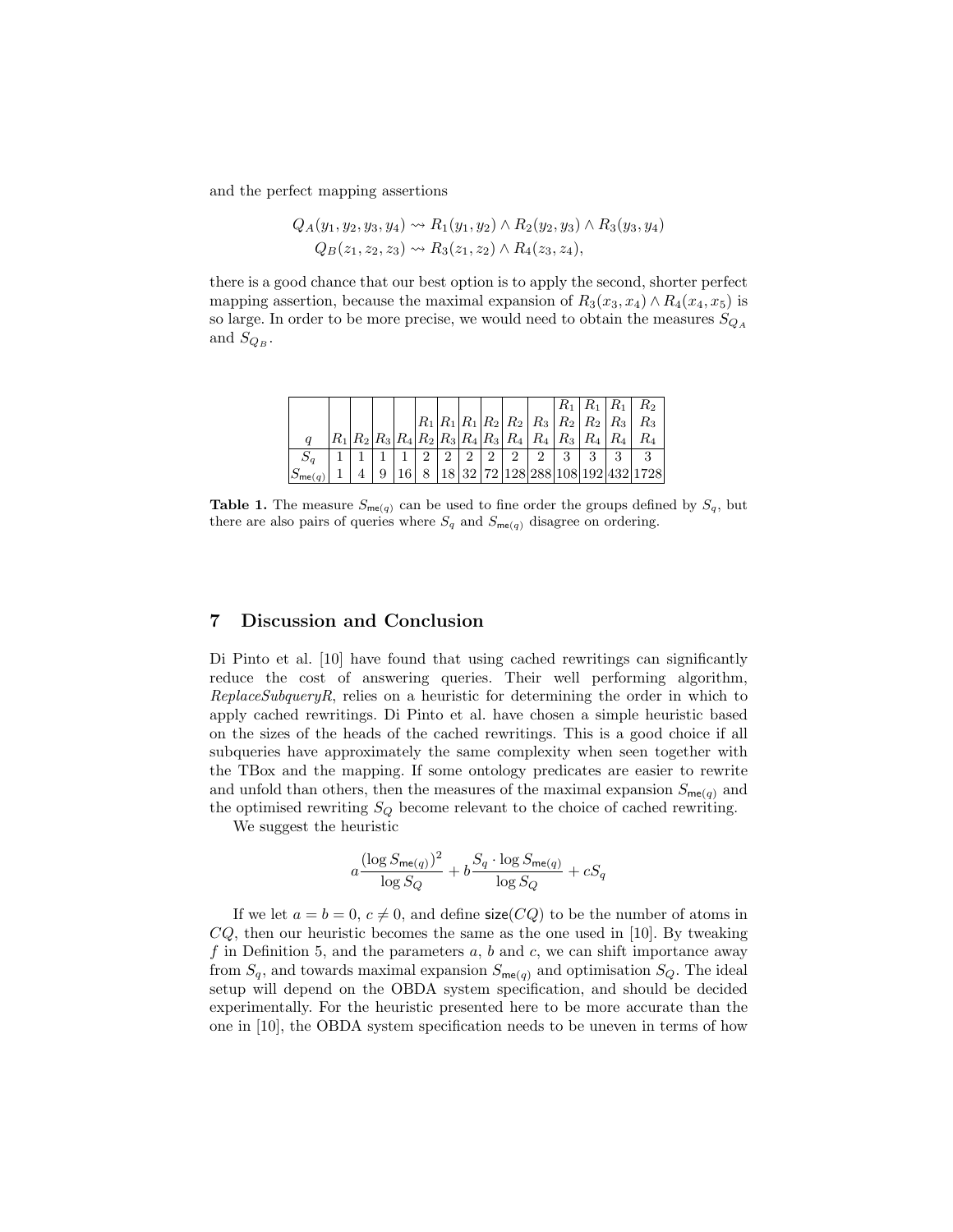and the perfect mapping assertions

$$
Q_A(y_1, y_2, y_3, y_4) \rightsquigarrow R_1(y_1, y_2) \land R_2(y_2, y_3) \land R_3(y_3, y_4)
$$
  
 
$$
Q_B(z_1, z_2, z_3) \rightsquigarrow R_3(z_1, z_2) \land R_4(z_3, z_4),
$$

there is a good chance that our best option is to apply the second, shorter perfect mapping assertion, because the maximal expansion of  $R_3(x_3, x_4) \wedge R_4(x_4, x_5)$  is so large. In order to be more precise, we would need to obtain the measures  ${\cal S}_{Q_A}$ and  $S_{Q_B}$ .

|         |  |  |                |                |                |                             |                                                         |   |       |                                             | $R_{\rm 2}$                       |
|---------|--|--|----------------|----------------|----------------|-----------------------------|---------------------------------------------------------|---|-------|---------------------------------------------|-----------------------------------|
|         |  |  |                |                |                |                             |                                                         |   |       | $ R_1 R_1 R_1 R_2 R_2 R_3 R_3 R_2 R_2 R_3 $ | $R_{3}$                           |
|         |  |  |                |                |                |                             | $ R_1 R_2 R_3 R_4 R_2 R_3 R_4 R_3 R_4 R_4 R_4 R_4 R_3 $ |   | $R_4$ |                                             |                                   |
|         |  |  | $\overline{2}$ | $\overline{2}$ | $\overline{2}$ | $\mathcal{D}_{\mathcal{L}}$ | $\mathcal{D}_{\mathcal{L}}$                             | 3 | 3     | 3                                           |                                   |
| 12me(q) |  |  |                |                |                |                             |                                                         |   |       |                                             | 18 32 72 128 288 108 192 432 1728 |

**Table 1.** The measure  $S_{\text{me}(q)}$  can be used to fine order the groups defined by  $S_q$ , but there are also pairs of queries where  $S_q$  and  $S_{\mathsf{me}(q)}$  disagree on ordering.

# 7 Discussion and Conclusion

Di Pinto et al. [10] have found that using cached rewritings can significantly reduce the cost of answering queries. Their well performing algorithm,  $ReplaceSubqueryR$ , relies on a heuristic for determining the order in which to apply cached rewritings. Di Pinto et al. have chosen a simple heuristic based on the sizes of the heads of the cached rewritings. This is a good choice if all subqueries have approximately the same complexity when seen together with the TBox and the mapping. If some ontology predicates are easier to rewrite and unfold than others, then the measures of the maximal expansion  $S_{\text{me}(q)}$  and the optimised rewriting  $S_Q$  become relevant to the choice of cached rewriting.

We suggest the heuristic

$$
a \frac{(\log S_{\mathsf{me}(q)})^2}{\log S_Q} + b \frac{S_q \cdot \log S_{\mathsf{me}(q)}}{\log S_Q} + cS_q
$$

If we let  $a = b = 0, c \neq 0$ , and define size(CQ) to be the number of atoms in  $CQ$ , then our heuristic becomes the same as the one used in [10]. By tweaking f in Definition 5, and the parameters  $a, b$  and  $c$ , we can shift importance away from  $S_q$ , and towards maximal expansion  $S_{\mathsf{me}(q)}$  and optimisation  $S_Q$ . The ideal setup will depend on the OBDA system specification, and should be decided experimentally. For the heuristic presented here to be more accurate than the one in [10], the OBDA system specification needs to be uneven in terms of how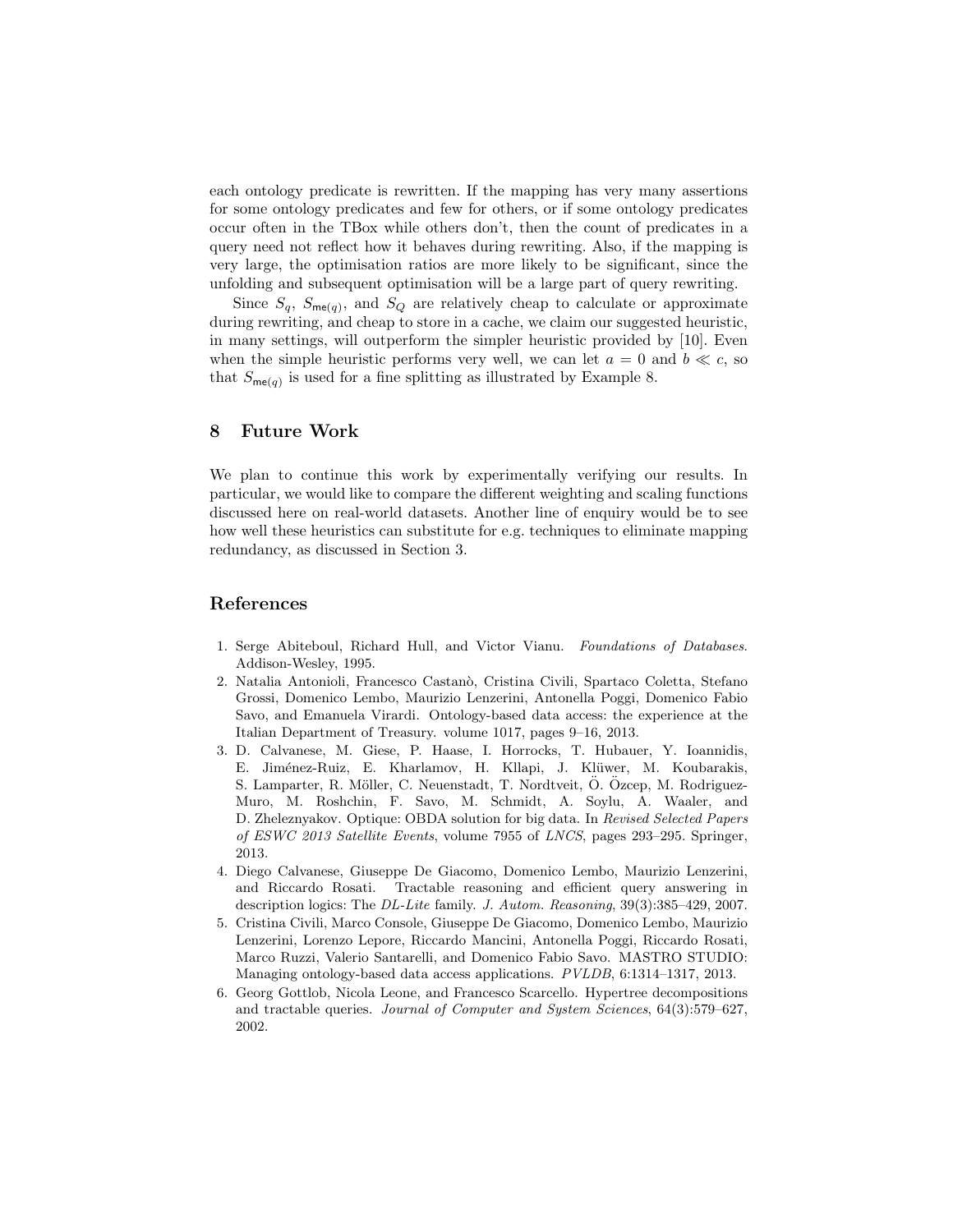each ontology predicate is rewritten. If the mapping has very many assertions for some ontology predicates and few for others, or if some ontology predicates occur often in the TBox while others don't, then the count of predicates in a query need not reflect how it behaves during rewriting. Also, if the mapping is very large, the optimisation ratios are more likely to be significant, since the unfolding and subsequent optimisation will be a large part of query rewriting.

Since  $S_q$ ,  $S_{\mathsf{me}(q)}$ , and  $S_Q$  are relatively cheap to calculate or approximate during rewriting, and cheap to store in a cache, we claim our suggested heuristic, in many settings, will outperform the simpler heuristic provided by [10]. Even when the simple heuristic performs very well, we can let  $a = 0$  and  $b \ll c$ , so that  $S_{\mathsf{me}(q)}$  is used for a fine splitting as illustrated by Example 8.

# 8 Future Work

We plan to continue this work by experimentally verifying our results. In particular, we would like to compare the different weighting and scaling functions discussed here on real-world datasets. Another line of enquiry would be to see how well these heuristics can substitute for e.g. techniques to eliminate mapping redundancy, as discussed in Section 3.

# References

- 1. Serge Abiteboul, Richard Hull, and Victor Vianu. Foundations of Databases. Addison-Wesley, 1995.
- 2. Natalia Antonioli, Francesco Castan`o, Cristina Civili, Spartaco Coletta, Stefano Grossi, Domenico Lembo, Maurizio Lenzerini, Antonella Poggi, Domenico Fabio Savo, and Emanuela Virardi. Ontology-based data access: the experience at the Italian Department of Treasury. volume 1017, pages 9–16, 2013.
- 3. D. Calvanese, M. Giese, P. Haase, I. Horrocks, T. Hubauer, Y. Ioannidis, E. Jiménez-Ruiz, E. Kharlamov, H. Kllapi, J. Klüwer, M. Koubarakis, S. Lamparter, R. Möller, C. Neuenstadt, T. Nordtveit, Ö. Özcep, M. Rodriguez-Muro, M. Roshchin, F. Savo, M. Schmidt, A. Soylu, A. Waaler, and D. Zheleznyakov. Optique: OBDA solution for big data. In Revised Selected Papers of ESWC 2013 Satellite Events, volume 7955 of LNCS, pages 293–295. Springer, 2013.
- 4. Diego Calvanese, Giuseppe De Giacomo, Domenico Lembo, Maurizio Lenzerini, and Riccardo Rosati. Tractable reasoning and efficient query answering in description logics: The DL-Lite family. J. Autom. Reasoning, 39(3):385–429, 2007.
- 5. Cristina Civili, Marco Console, Giuseppe De Giacomo, Domenico Lembo, Maurizio Lenzerini, Lorenzo Lepore, Riccardo Mancini, Antonella Poggi, Riccardo Rosati, Marco Ruzzi, Valerio Santarelli, and Domenico Fabio Savo. MASTRO STUDIO: Managing ontology-based data access applications. PVLDB, 6:1314–1317, 2013.
- 6. Georg Gottlob, Nicola Leone, and Francesco Scarcello. Hypertree decompositions and tractable queries. Journal of Computer and System Sciences, 64(3):579–627, 2002.